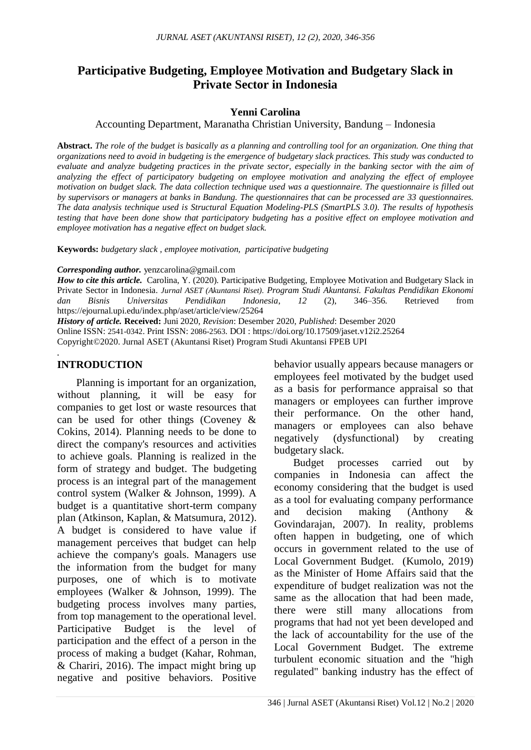# **Participative Budgeting, Employee Motivation and Budgetary Slack in Private Sector in Indonesia**

### **Yenni Carolina**

#### Accounting Department, Maranatha Christian University, Bandung – Indonesia

**Abstract.** *The role of the budget is basically as a planning and controlling tool for an organization. One thing that organizations need to avoid in budgeting is the emergence of budgetary slack practices. This study was conducted to evaluate and analyze budgeting practices in the private sector, especially in the banking sector with the aim of analyzing the effect of participatory budgeting on employee motivation and analyzing the effect of employee motivation on budget slack. The data collection technique used was a questionnaire. The questionnaire is filled out by supervisors or managers at banks in Bandung. The questionnaires that can be processed are 33 questionnaires. The data analysis technique used is Structural Equation Modeling-PLS (SmartPLS 3.0). The results of hypothesis testing that have been done show that participatory budgeting has a positive effect on employee motivation and employee motivation has a negative effect on budget slack.*

**Keywords:** *budgetary slack , employee motivation, participative budgeting*

#### *Corresponding author.* yenzcarolina@gmail.com

*How to cite this article.* Carolina, Y. (2020). Participative Budgeting, Employee Motivation and Budgetary Slack in Private Sector in Indonesia. *Jurnal ASET (Akuntansi Riset). Program Studi Akuntansi. Fakultas Pendidikan Ekonomi dan Bisnis Universitas Pendidikan Indonesia*, *12* (2), 346–356. Retrieved from https://ejournal.upi.edu/index.php/aset/article/view/25264 *History of article.* **Received:** Juni 2020, *Revision*: Desember 2020, *Published*: Desember 2020 Online ISSN: 2541-0342. Print ISSN: 2086-2563. DOI : https://doi.org/10.17509/jaset.v12i2.25264 Copyright©2020. Jurnal ASET (Akuntansi Riset) Program Studi Akuntansi FPEB UPI

#### *.*  **INTRODUCTION**

Planning is important for an organization, without planning, it will be easy for companies to get lost or waste resources that can be used for other things (Coveney & Cokins, 2014). Planning needs to be done to direct the company's resources and activities to achieve goals. Planning is realized in the form of strategy and budget. The budgeting process is an integral part of the management control system (Walker & Johnson, 1999). A budget is a quantitative short-term company plan (Atkinson, Kaplan, & Matsumura, 2012). A budget is considered to have value if management perceives that budget can help achieve the company's goals. Managers use the information from the budget for many purposes, one of which is to motivate employees (Walker & Johnson, 1999). The budgeting process involves many parties, from top management to the operational level. Participative Budget is the level of participation and the effect of a person in the process of making a budget (Kahar, Rohman, & Chariri, 2016). The impact might bring up negative and positive behaviors. Positive

behavior usually appears because managers or employees feel motivated by the budget used as a basis for performance appraisal so that managers or employees can further improve their performance. On the other hand, managers or employees can also behave negatively (dysfunctional) by creating budgetary slack.

Budget processes carried out by companies in Indonesia can affect the economy considering that the budget is used as a tool for evaluating company performance and decision making (Anthony & Govindarajan, 2007). In reality, problems often happen in budgeting, one of which occurs in government related to the use of Local Government Budget. (Kumolo, 2019) as the Minister of Home Affairs said that the expenditure of budget realization was not the same as the allocation that had been made, there were still many allocations from programs that had not yet been developed and the lack of accountability for the use of the Local Government Budget. The extreme turbulent economic situation and the "high regulated" banking industry has the effect of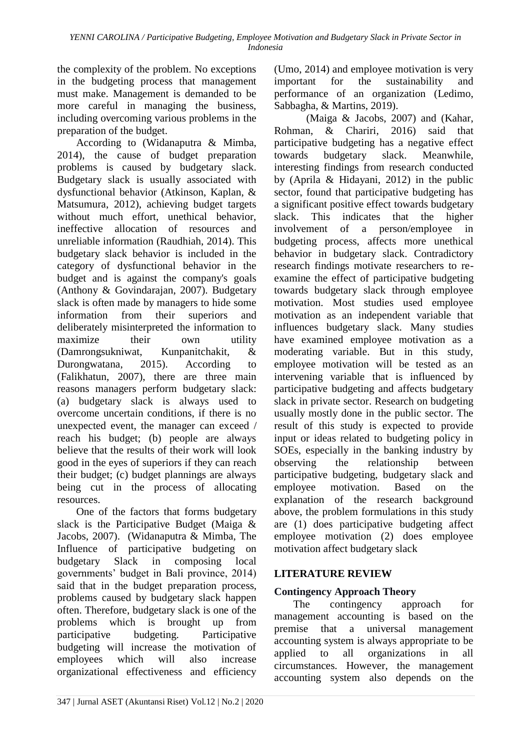the complexity of the problem. No exceptions in the budgeting process that management must make. Management is demanded to be more careful in managing the business, including overcoming various problems in the preparation of the budget.

According to (Widanaputra & Mimba, 2014), the cause of budget preparation problems is caused by budgetary slack. Budgetary slack is usually associated with dysfunctional behavior (Atkinson, Kaplan, & Matsumura, 2012), achieving budget targets without much effort, unethical behavior, ineffective allocation of resources and unreliable information (Raudhiah, 2014). This budgetary slack behavior is included in the category of dysfunctional behavior in the budget and is against the company's goals (Anthony & Govindarajan, 2007). Budgetary slack is often made by managers to hide some information from their superiors and deliberately misinterpreted the information to maximize their own utility (Damrongsukniwat, Kunpanitchakit, & Durongwatana, 2015). According to (Falikhatun, 2007), there are three main reasons managers perform budgetary slack: (a) budgetary slack is always used to overcome uncertain conditions, if there is no unexpected event, the manager can exceed / reach his budget; (b) people are always believe that the results of their work will look good in the eyes of superiors if they can reach their budget; (c) budget plannings are always being cut in the process of allocating resources.

One of the factors that forms budgetary slack is the Participative Budget (Maiga & Jacobs, 2007). (Widanaputra & Mimba, The Influence of participative budgeting on budgetary Slack in composing local governments' budget in Bali province, 2014) said that in the budget preparation process, problems caused by budgetary slack happen often. Therefore, budgetary slack is one of the problems which is brought up from participative budgeting. Participative budgeting will increase the motivation of employees which will also increase organizational effectiveness and efficiency

(Umo, 2014) and employee motivation is very important for the sustainability and performance of an organization (Ledimo, Sabbagha, & Martins, 2019).

(Maiga & Jacobs, 2007) and (Kahar, Rohman, & Chariri, 2016) said that participative budgeting has a negative effect towards budgetary slack. Meanwhile, interesting findings from research conducted by (Aprila & Hidayani, 2012) in the public sector, found that participative budgeting has a significant positive effect towards budgetary slack. This indicates that the higher involvement of a person/employee in budgeting process, affects more unethical behavior in budgetary slack. Contradictory research findings motivate researchers to reexamine the effect of participative budgeting towards budgetary slack through employee motivation. Most studies used employee motivation as an independent variable that influences budgetary slack. Many studies have examined employee motivation as a moderating variable. But in this study, employee motivation will be tested as an intervening variable that is influenced by participative budgeting and affects budgetary slack in private sector. Research on budgeting usually mostly done in the public sector. The result of this study is expected to provide input or ideas related to budgeting policy in SOEs, especially in the banking industry by observing the relationship between participative budgeting, budgetary slack and employee motivation. Based on the explanation of the research background above, the problem formulations in this study are (1) does participative budgeting affect employee motivation (2) does employee motivation affect budgetary slack

# **LITERATURE REVIEW**

# **Contingency Approach Theory**

The contingency approach for management accounting is based on the premise that a universal management accounting system is always appropriate to be applied to all organizations in all circumstances. However, the management accounting system also depends on the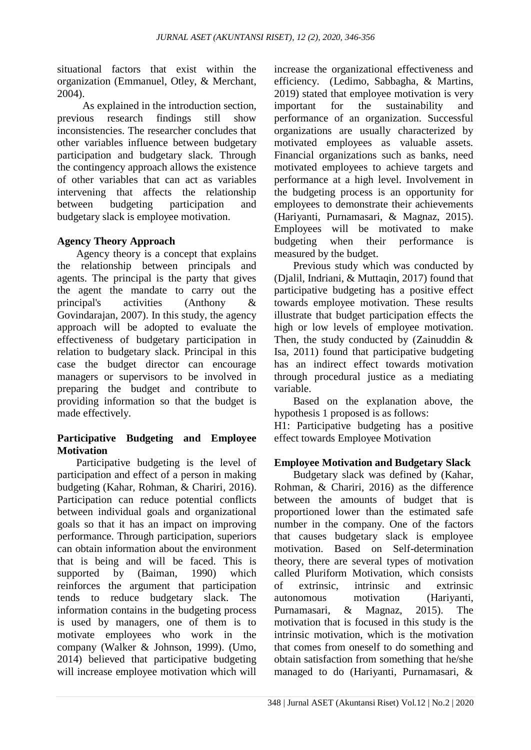situational factors that exist within the organization (Emmanuel, Otley, & Merchant, 2004).

As explained in the introduction section, previous research findings still show inconsistencies. The researcher concludes that other variables influence between budgetary participation and budgetary slack. Through the contingency approach allows the existence of other variables that can act as variables intervening that affects the relationship between budgeting participation and budgetary slack is employee motivation.

# **Agency Theory Approach**

Agency theory is a concept that explains the relationship between principals and agents. The principal is the party that gives the agent the mandate to carry out the principal's activities (Anthony & Govindarajan, 2007). In this study, the agency approach will be adopted to evaluate the effectiveness of budgetary participation in relation to budgetary slack. Principal in this case the budget director can encourage managers or supervisors to be involved in preparing the budget and contribute to providing information so that the budget is made effectively.

# **Participative Budgeting and Employee Motivation**

Participative budgeting is the level of participation and effect of a person in making budgeting (Kahar, Rohman, & Chariri, 2016). Participation can reduce potential conflicts between individual goals and organizational goals so that it has an impact on improving performance. Through participation, superiors can obtain information about the environment that is being and will be faced. This is supported by (Baiman, 1990) which reinforces the argument that participation tends to reduce budgetary slack. The information contains in the budgeting process is used by managers, one of them is to motivate employees who work in the company (Walker & Johnson, 1999). (Umo, 2014) believed that participative budgeting will increase employee motivation which will

increase the organizational effectiveness and efficiency. (Ledimo, Sabbagha, & Martins, 2019) stated that employee motivation is very important for the sustainability and performance of an organization. Successful organizations are usually characterized by motivated employees as valuable assets. Financial organizations such as banks, need motivated employees to achieve targets and performance at a high level. Involvement in the budgeting process is an opportunity for employees to demonstrate their achievements (Hariyanti, Purnamasari, & Magnaz, 2015). Employees will be motivated to make budgeting when their performance is measured by the budget.

Previous study which was conducted by (Djalil, Indriani, & Muttaqin, 2017) found that participative budgeting has a positive effect towards employee motivation. These results illustrate that budget participation effects the high or low levels of employee motivation. Then, the study conducted by (Zainuddin  $\&$ Isa, 2011) found that participative budgeting has an indirect effect towards motivation through procedural justice as a mediating variable.

Based on the explanation above, the hypothesis 1 proposed is as follows:

H1: Participative budgeting has a positive effect towards Employee Motivation

### **Employee Motivation and Budgetary Slack**

Budgetary slack was defined by (Kahar, Rohman, & Chariri, 2016) as the difference between the amounts of budget that is proportioned lower than the estimated safe number in the company. One of the factors that causes budgetary slack is employee motivation. Based on Self-determination theory, there are several types of motivation called Pluriform Motivation, which consists of extrinsic, intrinsic and extrinsic autonomous motivation (Hariyanti, Purnamasari, & Magnaz, 2015). The motivation that is focused in this study is the intrinsic motivation, which is the motivation that comes from oneself to do something and obtain satisfaction from something that he/she managed to do (Hariyanti, Purnamasari, &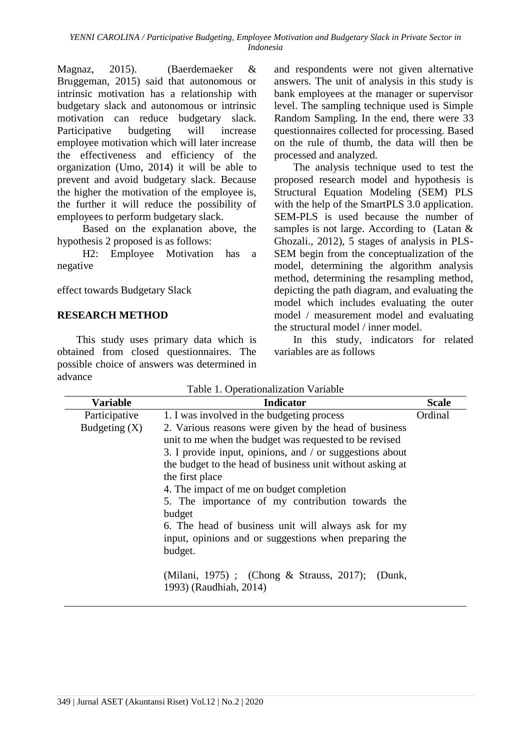Magnaz, 2015). (Baerdemaeker & Bruggeman, 2015) said that autonomous or intrinsic motivation has a relationship with budgetary slack and autonomous or intrinsic motivation can reduce budgetary slack. Participative budgeting will increase employee motivation which will later increase the effectiveness and efficiency of the organization (Umo, 2014) it will be able to prevent and avoid budgetary slack. Because the higher the motivation of the employee is, the further it will reduce the possibility of employees to perform budgetary slack.

Based on the explanation above, the hypothesis 2 proposed is as follows:

H2: Employee Motivation has a negative

effect towards Budgetary Slack

### **RESEARCH METHOD**

This study uses primary data which is obtained from closed questionnaires. The possible choice of answers was determined in advance

and respondents were not given alternative answers. The unit of analysis in this study is bank employees at the manager or supervisor level. The sampling technique used is Simple Random Sampling. In the end, there were 33 questionnaires collected for processing. Based on the rule of thumb, the data will then be processed and analyzed.

The analysis technique used to test the proposed research model and hypothesis is Structural Equation Modeling (SEM) PLS with the help of the SmartPLS 3.0 application. SEM-PLS is used because the number of samples is not large. According to (Latan & Ghozali., 2012), 5 stages of analysis in PLS-SEM begin from the conceptualization of the model, determining the algorithm analysis method, determining the resampling method, depicting the path diagram, and evaluating the model which includes evaluating the outer model / measurement model and evaluating the structural model / inner model.

In this study, indicators for related variables are as follows

| $\frac{1}{2}$ . $\frac{1}{2}$ |                                                           |              |  |
|-------------------------------|-----------------------------------------------------------|--------------|--|
| <b>Variable</b>               | <b>Indicator</b>                                          | <b>Scale</b> |  |
| Participative                 | 1. I was involved in the budgeting process                | Ordinal      |  |
| Budgeting $(X)$               | 2. Various reasons were given by the head of business     |              |  |
|                               | unit to me when the budget was requested to be revised    |              |  |
|                               | 3. I provide input, opinions, and / or suggestions about  |              |  |
|                               | the budget to the head of business unit without asking at |              |  |
|                               | the first place                                           |              |  |
|                               | 4. The impact of me on budget completion                  |              |  |
|                               | 5. The importance of my contribution towards the          |              |  |
|                               | budget                                                    |              |  |
|                               | 6. The head of business unit will always ask for my       |              |  |
|                               | input, opinions and or suggestions when preparing the     |              |  |
|                               | budget.                                                   |              |  |
|                               |                                                           |              |  |
|                               | (Milani, 1975); (Chong & Strauss, 2017);<br>(Dunk.        |              |  |
|                               | 1993) (Raudhiah, 2014)                                    |              |  |
|                               |                                                           |              |  |

| Table 1. Operationalization Variable |  |
|--------------------------------------|--|
|                                      |  |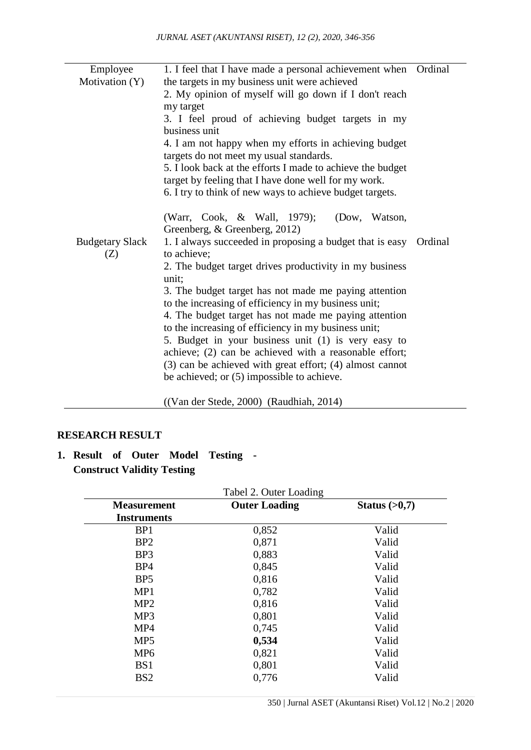| Employee               | 1. I feel that I have made a personal achievement when Ordinal                  |  |
|------------------------|---------------------------------------------------------------------------------|--|
| Motivation (Y)         | the targets in my business unit were achieved                                   |  |
|                        | 2. My opinion of myself will go down if I don't reach                           |  |
|                        | my target                                                                       |  |
|                        | 3. I feel proud of achieving budget targets in my                               |  |
|                        | business unit                                                                   |  |
|                        | 4. I am not happy when my efforts in achieving budget                           |  |
|                        | targets do not meet my usual standards.                                         |  |
|                        | 5. I look back at the efforts I made to achieve the budget                      |  |
|                        | target by feeling that I have done well for my work.                            |  |
|                        | 6. I try to think of new ways to achieve budget targets.                        |  |
|                        |                                                                                 |  |
|                        | (Warr, Cook, & Wall, 1979);<br>(Dow, Watson,                                    |  |
|                        | Greenberg, & Greenberg, 2012)                                                   |  |
| <b>Budgetary Slack</b> | 1. I always succeeded in proposing a budget that is easy Ordinal<br>to achieve; |  |
| (Z)                    | 2. The budget target drives productivity in my business                         |  |
|                        | unit;                                                                           |  |
|                        | 3. The budget target has not made me paying attention                           |  |
|                        | to the increasing of efficiency in my business unit;                            |  |
|                        | 4. The budget target has not made me paying attention                           |  |
|                        | to the increasing of efficiency in my business unit;                            |  |
|                        | 5. Budget in your business unit (1) is very easy to                             |  |
|                        | achieve; (2) can be achieved with a reasonable effort;                          |  |
|                        | (3) can be achieved with great effort; (4) almost cannot                        |  |
|                        | be achieved; or (5) impossible to achieve.                                      |  |
|                        |                                                                                 |  |
|                        | $((Van der Stede, 2000)$ (Raudhiah, 2014)                                       |  |

### **RESEARCH RESULT**

 $\overline{a}$ 

# **1. Result of Outer Model Testing - Construct Validity Testing**

| <b>Outer Loading</b><br><b>Measurement</b><br>Status $(>0,7)$ |       |       |  |  |  |
|---------------------------------------------------------------|-------|-------|--|--|--|
| <b>Instruments</b>                                            |       |       |  |  |  |
| BP1                                                           | 0,852 | Valid |  |  |  |
| BP <sub>2</sub>                                               | 0,871 | Valid |  |  |  |
| BP3                                                           | 0,883 | Valid |  |  |  |
| BP4                                                           | 0,845 | Valid |  |  |  |
| B <sub>P5</sub>                                               | 0,816 | Valid |  |  |  |
| MP1                                                           | 0,782 | Valid |  |  |  |
| MP <sub>2</sub>                                               | 0,816 | Valid |  |  |  |
| MP3                                                           | 0,801 | Valid |  |  |  |
| MP4                                                           | 0,745 | Valid |  |  |  |
| MP <sub>5</sub>                                               | 0,534 | Valid |  |  |  |
| MP <sub>6</sub>                                               | 0,821 | Valid |  |  |  |
| BS1                                                           | 0,801 | Valid |  |  |  |
| BS <sub>2</sub>                                               | 0,776 | Valid |  |  |  |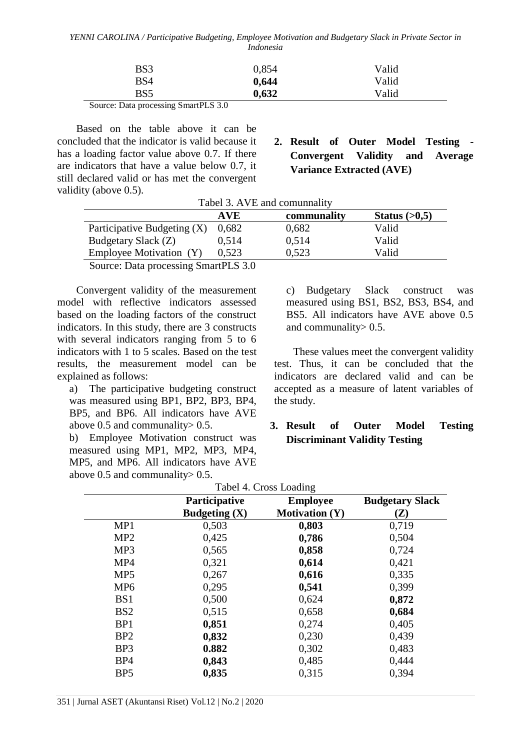*YENNI CAROLINA / Participative Budgeting, Employee Motivation and Budgetary Slack in Private Sector in Indonesia*

| BS3 | 0,854 | Valid |
|-----|-------|-------|
| BS4 | 0,644 | Valid |
| BS5 | 0,632 | Valid |

Source: Data processing SmartPLS 3.0

Based on the table above it can be concluded that the indicator is valid because it has a loading factor value above 0.7. If there are indicators that have a value below 0.7, it still declared valid or has met the convergent validity (above 0.5).

**2. Result of Outer Model Testing - Convergent Validity and Average Variance Extracted (AVE)**

| Tuber 5. IT VE and comunicative      |            |             |                 |  |
|--------------------------------------|------------|-------------|-----------------|--|
|                                      | <b>AVE</b> | communality | Status $(>0,5)$ |  |
| Participative Budgeting $(X)$        | 0,682      | 0,682       | Valid           |  |
| Budgetary Slack (Z)                  | 0.514      | 0.514       | Valid           |  |
| Employee Motivation (Y)              | 0,523      | 0.523       | Valid           |  |
| Source: Data processing SmartPLS 3.0 |            |             |                 |  |

Tabel 3. AVE and comunnality

Convergent validity of the measurement model with reflective indicators assessed based on the loading factors of the construct indicators. In this study, there are 3 constructs with several indicators ranging from 5 to 6 indicators with 1 to 5 scales. Based on the test

results, the measurement model can be

above 0.5 and communality> 0.5.

above 0.5 and communality> 0.5.

a) The participative budgeting construct was measured using BP1, BP2, BP3, BP4, BP5, and BP6. All indicators have AVE

b) Employee Motivation construct was measured using MP1, MP2, MP3, MP4, MP5, and MP6. All indicators have AVE

explained as follows:

c) Budgetary Slack construct was measured using BS1, BS2, BS3, BS4, and BS5. All indicators have AVE above 0.5 and communality> 0.5.

These values meet the convergent validity test. Thus, it can be concluded that the indicators are declared valid and can be accepted as a measure of latent variables of the study.

# **3. Result of Outer Model Testing Discriminant Validity Testing**

|  | Tabel 4. Cross Loading |
|--|------------------------|
|  |                        |

|                 | O<br>Participative<br><b>Employee</b> |                       |                                          |  |
|-----------------|---------------------------------------|-----------------------|------------------------------------------|--|
|                 | Budgeting $(X)$                       | <b>Motivation (Y)</b> | <b>Budgetary Slack</b><br>$(\mathbf{Z})$ |  |
| MP1             | 0,503                                 | 0,803                 | 0,719                                    |  |
| MP <sub>2</sub> | 0,425                                 | 0,786                 | 0,504                                    |  |
| MP3             | 0,565                                 | 0,858                 | 0,724                                    |  |
| MP4             | 0,321                                 | 0,614                 | 0,421                                    |  |
| MP <sub>5</sub> | 0,267                                 | 0,616                 | 0,335                                    |  |
| MP <sub>6</sub> | 0,295                                 | 0,541                 | 0,399                                    |  |
| BS1             | 0,500                                 | 0,624                 | 0,872                                    |  |
| BS <sub>2</sub> | 0,515                                 | 0,658                 | 0,684                                    |  |
| BP1             | 0,851                                 | 0,274                 | 0,405                                    |  |
| BP <sub>2</sub> | 0,832                                 | 0,230                 | 0,439                                    |  |
| BP <sub>3</sub> | 0.882                                 | 0,302                 | 0,483                                    |  |
| BP <sub>4</sub> | 0,843                                 | 0,485                 | 0,444                                    |  |
| BP <sub>5</sub> | 0,835                                 | 0,315                 | 0.394                                    |  |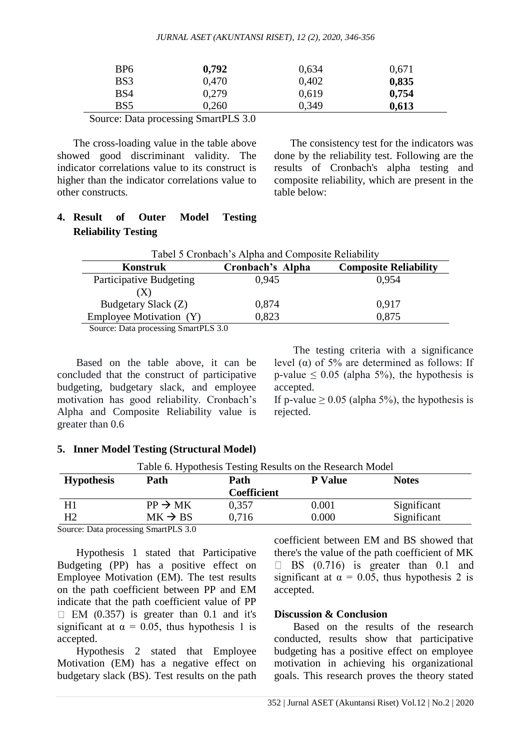#### *JURNAL ASET (AKUNTANSI RISET), 12 (2), 2020, 346-356*

| BP6 | 0,792 | 0,634 | 0,671 |
|-----|-------|-------|-------|
| BS3 | 0,470 | 0,402 | 0,835 |
| BS4 | 0,279 | 0,619 | 0,754 |
| BS5 | 0,260 | 0,349 | 0,613 |

Source: Data processing SmartPLS 3.0

The cross-loading value in the table above showed good discriminant validity. The indicator correlations value to its construct is higher than the indicator correlations value to other constructs.

The consistency test for the indicators was done by the reliability test. Following are the results of Cronbach's alpha testing and composite reliability, which are present in the table below:

# **4. Result of Outer Model Testing Reliability Testing**

| Tabel 5 Cronbach's Alpha and Composite Reliability                                                       |       |       |  |  |
|----------------------------------------------------------------------------------------------------------|-------|-------|--|--|
| <b>Composite Reliability</b><br>Cronbach's Alpha<br>Konstruk                                             |       |       |  |  |
| Participative Budgeting                                                                                  | 0.945 | 0,954 |  |  |
| (X)                                                                                                      |       |       |  |  |
| Budgetary Slack (Z)                                                                                      | 0,874 | 0.917 |  |  |
| Employee Motivation (Y)                                                                                  | 0,823 | 0,875 |  |  |
| $\mathcal{R}_{\text{current}}$ , Dete nuessaine $\mathcal{R}_{\text{model}}$ DI $\mathcal{R}_{\text{1}}$ |       |       |  |  |

Source: Data processing SmartPLS 3.0

Based on the table above, it can be concluded that the construct of participative budgeting, budgetary slack, and employee motivation has good reliability. Cronbach's Alpha and Composite Reliability value is greater than 0.6

The testing criteria with a significance level (α) of 5% are determined as follows: If p-value  $\leq 0.05$  (alpha 5%), the hypothesis is accepted.

If p-value  $\geq 0.05$  (alpha 5%), the hypothesis is rejected.

### **5. Inner Model Testing (Structural Model)**

Table 6. Hypothesis Testing Results on the Research Model

| <b>Hypothesis</b> | Path                | Path<br><b>Coefficient</b> | <b>P</b> Value | <b>Notes</b> |
|-------------------|---------------------|----------------------------|----------------|--------------|
|                   | $PP \rightarrow MK$ | 0.357                      | 0.001          | Significant  |
| Н2                | $MK \rightarrow BS$ | 0.716                      | 0.000          | Significant  |

Source: Data processing SmartPLS 3.0

Hypothesis 1 stated that Participative Budgeting (PP) has a positive effect on Employee Motivation (EM). The test results on the path coefficient between PP and EM indicate that the path coefficient value of PP  $\Box$  EM (0.357) is greater than 0.1 and it's significant at  $\alpha = 0.05$ , thus hypothesis 1 is accepted.

Hypothesis 2 stated that Employee Motivation (EM) has a negative effect on budgetary slack (BS). Test results on the path coefficient between EM and BS showed that there's the value of the path coefficient of MK  $\Box$  BS (0.716) is greater than 0.1 and significant at  $\alpha = 0.05$ , thus hypothesis 2 is accepted.

### **Discussion & Conclusion**

Based on the results of the research conducted, results show that participative budgeting has a positive effect on employee motivation in achieving his organizational goals. This research proves the theory stated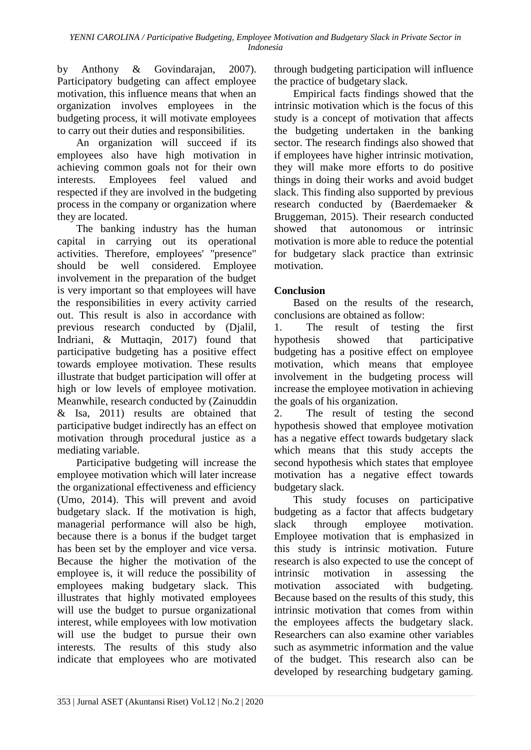by Anthony & Govindarajan, 2007). Participatory budgeting can affect employee motivation, this influence means that when an organization involves employees in the budgeting process, it will motivate employees to carry out their duties and responsibilities.

An organization will succeed if its employees also have high motivation in achieving common goals not for their own interests. Employees feel valued and respected if they are involved in the budgeting process in the company or organization where they are located.

The banking industry has the human capital in carrying out its operational activities. Therefore, employees' "presence" should be well considered. Employee involvement in the preparation of the budget is very important so that employees will have the responsibilities in every activity carried out. This result is also in accordance with previous research conducted by (Djalil, Indriani, & Muttaqin, 2017) found that participative budgeting has a positive effect towards employee motivation. These results illustrate that budget participation will offer at high or low levels of employee motivation. Meanwhile, research conducted by (Zainuddin & Isa, 2011) results are obtained that participative budget indirectly has an effect on motivation through procedural justice as a mediating variable.

Participative budgeting will increase the employee motivation which will later increase the organizational effectiveness and efficiency (Umo, 2014). This will prevent and avoid budgetary slack. If the motivation is high, managerial performance will also be high, because there is a bonus if the budget target has been set by the employer and vice versa. Because the higher the motivation of the employee is, it will reduce the possibility of employees making budgetary slack. This illustrates that highly motivated employees will use the budget to pursue organizational interest, while employees with low motivation will use the budget to pursue their own interests. The results of this study also indicate that employees who are motivated

through budgeting participation will influence the practice of budgetary slack.

Empirical facts findings showed that the intrinsic motivation which is the focus of this study is a concept of motivation that affects the budgeting undertaken in the banking sector. The research findings also showed that if employees have higher intrinsic motivation, they will make more efforts to do positive things in doing their works and avoid budget slack. This finding also supported by previous research conducted by (Baerdemaeker & Bruggeman, 2015). Their research conducted showed that autonomous or intrinsic motivation is more able to reduce the potential for budgetary slack practice than extrinsic motivation.

# **Conclusion**

Based on the results of the research, conclusions are obtained as follow:

1. The result of testing the first hypothesis showed that participative budgeting has a positive effect on employee motivation, which means that employee involvement in the budgeting process will increase the employee motivation in achieving the goals of his organization.

2. The result of testing the second hypothesis showed that employee motivation has a negative effect towards budgetary slack which means that this study accepts the second hypothesis which states that employee motivation has a negative effect towards budgetary slack.

This study focuses on participative budgeting as a factor that affects budgetary slack through employee motivation. Employee motivation that is emphasized in this study is intrinsic motivation. Future research is also expected to use the concept of intrinsic motivation in assessing the motivation associated with budgeting. Because based on the results of this study, this intrinsic motivation that comes from within the employees affects the budgetary slack. Researchers can also examine other variables such as asymmetric information and the value of the budget. This research also can be developed by researching budgetary gaming.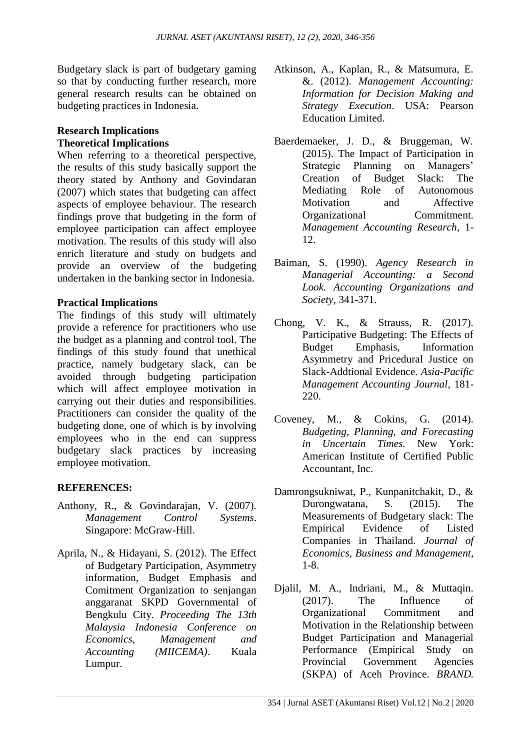Budgetary slack is part of budgetary gaming so that by conducting further research, more general research results can be obtained on budgeting practices in Indonesia.

# **Research Implications Theoretical Implications**

When referring to a theoretical perspective, the results of this study basically support the theory stated by Anthony and Govindaran (2007) which states that budgeting can affect aspects of employee behaviour. The research findings prove that budgeting in the form of employee participation can affect employee motivation. The results of this study will also enrich literature and study on budgets and provide an overview of the budgeting undertaken in the banking sector in Indonesia.

# **Practical Implications**

The findings of this study will ultimately provide a reference for practitioners who use the budget as a planning and control tool. The findings of this study found that unethical practice, namely budgetary slack, can be avoided through budgeting participation which will affect employee motivation in carrying out their duties and responsibilities. Practitioners can consider the quality of the budgeting done, one of which is by involving employees who in the end can suppress budgetary slack practices by increasing employee motivation.

# **REFERENCES:**

- Anthony, R., & Govindarajan, V. (2007). *Management Control Systems*. Singapore: McGraw-Hill.
- Aprila, N., & Hidayani, S. (2012). The Effect of Budgetary Participation, Asymmetry information, Budget Emphasis and Comitment Organization to senjangan anggaranat SKPD Governmental of Bengkulu City. *Proceeding The 13th Malaysia Indonesia Conference on Economics, Management and Accounting (MIICEMA)*. Kuala Lumpur.
- Atkinson, A., Kaplan, R., & Matsumura, E. &. (2012). *Management Accounting: Information for Decision Making and Strategy Execution*. USA: Pearson Education Limited.
- Baerdemaeker, J. D., & Bruggeman, W. (2015). The Impact of Participation in Strategic Planning on Managers' Creation of Budget Slack: The Mediating Role of Autonomous Motivation and Affective Organizational Commitment. *Management Accounting Research*, 1- 12.
- Baiman, S. (1990). *Agency Research in Managerial Accounting: a Second Look. Accounting Organizations and Society*, 341-371.
- Chong, V. K., & Strauss, R. (2017). Participative Budgeting: The Effects of Budget Emphasis, Information Asymmetry and Pricedural Justice on Slack-Addtional Evidence*. Asia-Pacific Management Accounting Journal*, 181- 220.
- Coveney, M., & Cokins, G. (2014). *Budgeting, Planning, and Forecasting in Uncertain Times.* New York: American Institute of Certified Public Accountant, Inc.
- Damrongsukniwat, P., Kunpanitchakit, D., & Durongwatana, S. (2015). The Measurements of Budgetary slack: The Empirical Evidence of Listed Companies in Thailand. *Journal of Economics, Business and Management*, 1-8.
- Djalil, M. A., Indriani, M., & Muttaqin. (2017). The Influence of Organizational Commitment and Motivation in the Relationship between Budget Participation and Managerial Performance (Empirical Study on Provincial Government Agencies (SKPA) of Aceh Province. *BRAND.*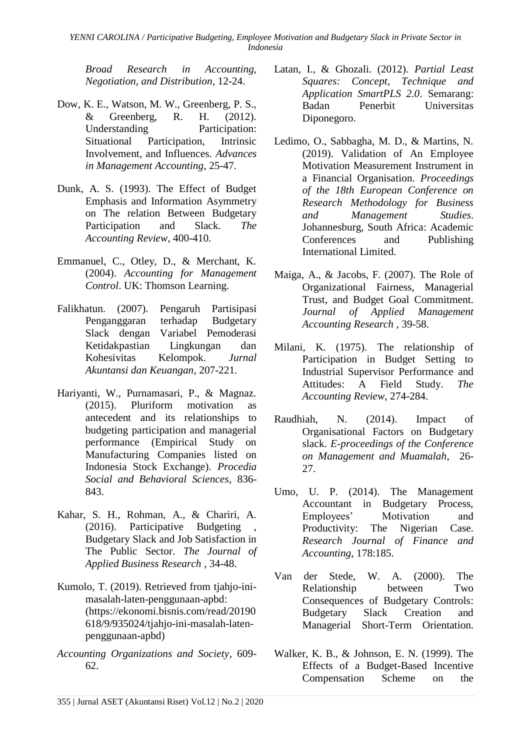*Broad Research in Accounting, Negotiation, and Distribution*, 12-24.

- Dow, K. E., Watson, M. W., Greenberg, P. S., & Greenberg, R. H. (2012). Understanding Participation: Situational Participation, Intrinsic Involvement, and Influences. *Advances in Management Accounting*, 25-47.
- Dunk, A. S. (1993). The Effect of Budget Emphasis and Information Asymmetry on The relation Between Budgetary Participation and Slack. *The Accounting Review*, 400-410.
- Emmanuel, C., Otley, D., & Merchant, K. (2004). *Accounting for Management Control*. UK: Thomson Learning.
- Falikhatun. (2007). Pengaruh Partisipasi Penganggaran terhadap Budgetary Slack dengan Variabel Pemoderasi Ketidakpastian Lingkungan dan Kohesivitas Kelompok. *Jurnal Akuntansi dan Keuangan*, 207-221.
- Hariyanti, W., Purnamasari, P., & Magnaz. (2015). Pluriform motivation as antecedent and its relationships to budgeting participation and managerial performance (Empirical Study on Manufacturing Companies listed on Indonesia Stock Exchange). *Procedia Social and Behavioral Sciences*, 836- 843.
- Kahar, S. H., Rohman, A., & Chariri, A. (2016). Participative Budgeting Budgetary Slack and Job Satisfaction in The Public Sector. *The Journal of Applied Business Research* , 34-48.
- Kumolo, T. (2019). Retrieved from tjahjo-inimasalah-laten-penggunaan-apbd: (https://ekonomi.bisnis.com/read/20190 618/9/935024/tjahjo-ini-masalah-latenpenggunaan-apbd)
- *Accounting Organizations and Society*, 609- 62.
- Latan, I., & Ghozali. (2012). *Partial Least Squares: Concept, Technique and Application SmartPLS 2.0*. Semarang: Badan Penerbit Universitas Diponegoro.
- Ledimo, O., Sabbagha, M. D., & Martins, N. (2019). Validation of An Employee Motivation Measurement Instrument in a Financial Organisation. *Proceedings of the 18th European Conference on Research Methodology for Business and Management Studies*. Johannesburg, South Africa: Academic Conferences and Publishing International Limited.
- Maiga, A., & Jacobs, F. (2007). The Role of Organizational Fairness, Managerial Trust, and Budget Goal Commitment. *Journal of Applied Management Accounting Research* , 39-58.
- Milani, K. (1975). The relationship of Participation in Budget Setting to Industrial Supervisor Performance and Attitudes: A Field Study. *The Accounting Review*, 274-284.
- Raudhiah, N. (2014). Impact of Organisational Factors on Budgetary slack. *E-proceedings of the Conference on Management and Muamalah*, 26- 27.
- Umo, U. P. (2014). The Management Accountant in Budgetary Process, Employees' Motivation and Productivity: The Nigerian Case. *Research Journal of Finance and Accounting*, 178:185.
- Van der Stede, W. A. (2000). The Relationship between Two Consequences of Budgetary Controls: Budgetary Slack Creation and Managerial Short-Term Orientation.
- Walker, K. B., & Johnson, E. N. (1999). The Effects of a Budget-Based Incentive Compensation Scheme on the